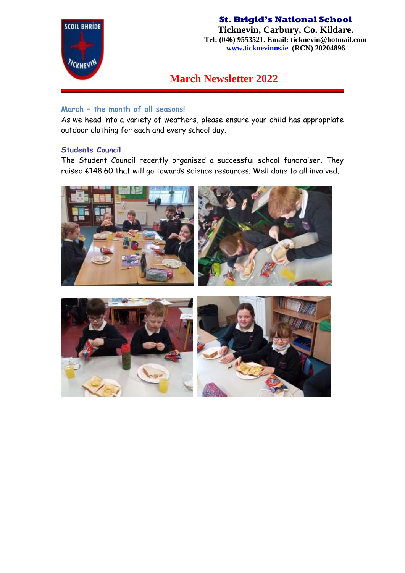

**Ticknevin, Carbury, Co. Kildare. Tel: (046) 9553521. Email: ticknevin@hotmail.com [www.ticknevinns.ie](http://www.ticknevinns.ie/) (RCN) 20204896**

# **March Newsletter 2022**

## **March – the month of all seasons!**

As we head into a variety of weathers, please ensure your child has appropriate outdoor clothing for each and every school day.

## **Students Council**

The Student Council recently organised a successful school fundraiser. They raised €148.60 that will go towards science resources. Well done to all involved.



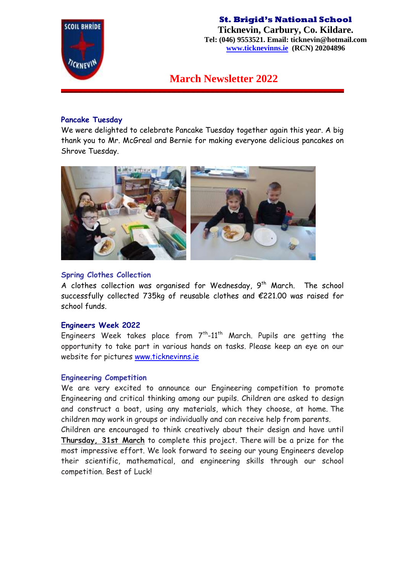

## **St. Brigid's National School Ticknevin, Carbury, Co. Kildare.**

**Tel: (046) 9553521. Email: ticknevin@hotmail.com [www.ticknevinns.ie](http://www.ticknevinns.ie/) (RCN) 20204896**

**March Newsletter 2022**

#### **Pancake Tuesday**

We were delighted to celebrate Pancake Tuesday together again this year. A big thank you to Mr. McGreal and Bernie for making everyone delicious pancakes on Shrove Tuesday.



#### **Spring Clothes Collection**

A clothes collection was organised for Wednesday,  $9<sup>th</sup>$  March. The school successfully collected 735kg of reusable clothes and €221.00 was raised for school funds.

#### **Engineers Week 2022**

Engineers Week takes place from  $7<sup>th</sup>$ -11<sup>th</sup> March. Pupils are getting the opportunity to take part in various hands on tasks. Please keep an eye on our website for pictures [www.ticknevinns.ie](http://www.ticknevinns.ie/)

### **Engineering Competition**

We are very excited to announce our Engineering competition to promote Engineering and critical thinking among our pupils. Children are asked to design and construct a boat, using any materials, which they choose, at home. The children may work in groups or individually and can receive help from parents.

Children are encouraged to think creatively about their design and have until **Thursday, 31st March** to complete this project. There will be a prize for the most impressive effort. We look forward to seeing our young Engineers develop their scientific, mathematical, and engineering skills through our school competition. Best of Luck!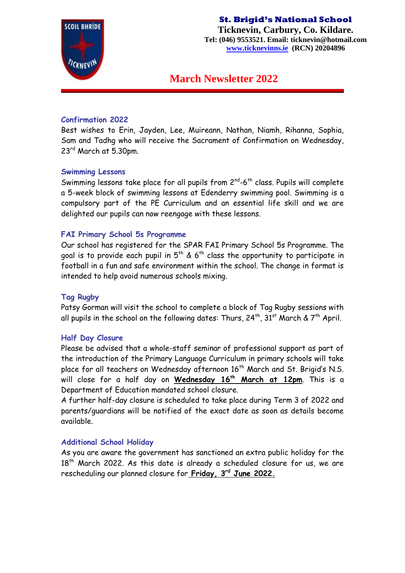

**Ticknevin, Carbury, Co. Kildare. Tel: (046) 9553521. Email: ticknevin@hotmail.com [www.ticknevinns.ie](http://www.ticknevinns.ie/) (RCN) 20204896**

## **March Newsletter 2022**

#### **Confirmation 2022**

Best wishes to Erin, Jayden, Lee, Muireann, Nathan, Niamh, Rihanna, Sophia, Sam and Tadhg who will receive the Sacrament of Confirmation on Wednesday, 23rd March at 5.30pm.

#### **Swimming Lessons**

Swimming lessons take place for all pupils from  $2^{nd}$ -6<sup>th</sup> class. Pupils will complete a 5-week block of swimming lessons at Edenderry swimming pool. Swimming is a compulsory part of the PE Curriculum and an essential life skill and we are delighted our pupils can now reengage with these lessons.

#### **FAI Primary School 5s Programme**

Our school has registered for the SPAR FAI Primary School 5s Programme. The goal is to provide each pupil in  $5<sup>th</sup>$  & 6<sup>th</sup> class the opportunity to participate in football in a fun and safe environment within the school. The change in format is intended to help avoid numerous schools mixing.

#### **Tag Rugby**

Patsy Gorman will visit the school to complete a block of Tag Rugby sessions with all pupils in the school on the following dates: Thurs,  $24^{th}$ ,  $31^{st}$  March &  $7^{th}$  April.

#### **Half Day Closure**

Please be advised that a whole-staff seminar of professional support as part of the introduction of the Primary Language Curriculum in primary schools will take place for all teachers on Wednesday afternoon 16<sup>th</sup> March and St. Brigid's N.S. will close for a half day on **Wednesday 16th March at 12pm**. This is a Department of Education mandated school closure.

A further half-day closure is scheduled to take place during Term 3 of 2022 and parents/guardians will be notified of the exact date as soon as details become available.

#### **Additional School Holiday**

As you are aware the government has sanctioned an extra public holiday for the 18<sup>th</sup> March 2022. As this date is already a scheduled closure for us, we are rescheduling our planned closure for **Friday, 3rd June 2022.**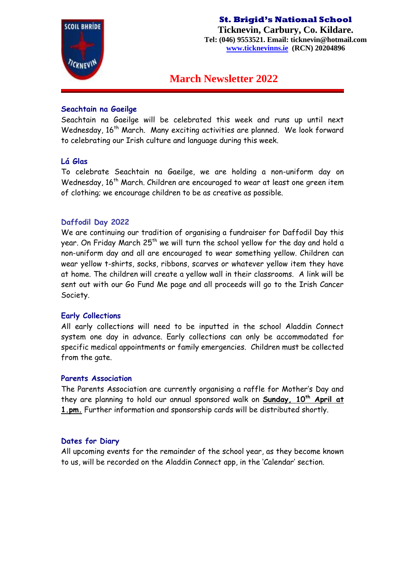

**Ticknevin, Carbury, Co. Kildare. Tel: (046) 9553521. Email: ticknevin@hotmail.com [www.ticknevinns.ie](http://www.ticknevinns.ie/) (RCN) 20204896**

## **March Newsletter 2022**

#### **Seachtain na Gaeilge**

Seachtain na Gaeilge will be celebrated this week and runs up until next Wednesday, 16<sup>th</sup> March. Many exciting activities are planned. We look forward to celebrating our Irish culture and language during this week.

### **Lá Glas**

To celebrate Seachtain na Gaeilge, we are holding a non-uniform day on Wednesday, 16<sup>th</sup> March. Children are encouraged to wear at least one green item of clothing; we encourage children to be as creative as possible.

### **Daffodil Day 2022**

We are continuing our tradition of organising a fundraiser for Daffodil Day this year. On Friday March 25<sup>th</sup> we will turn the school yellow for the day and hold a non-uniform day and all are encouraged to wear something yellow. Children can wear yellow t-shirts, socks, ribbons, scarves or whatever yellow item they have at home. The children will create a yellow wall in their classrooms. A link will be sent out with our Go Fund Me page and all proceeds will go to the Irish Cancer Society.

#### **Early Collections**

All early collections will need to be inputted in the school Aladdin Connect system one day in advance. Early collections can only be accommodated for specific medical appointments or family emergencies. Children must be collected from the gate.

#### **Parents Association**

The Parents Association are currently organising a raffle for Mother's Day and they are planning to hold our annual sponsored walk on **Sunday, 10th April at 1.pm.** Further information and sponsorship cards will be distributed shortly.

#### **Dates for Diary**

All upcoming events for the remainder of the school year, as they become known to us, will be recorded on the Aladdin Connect app, in the 'Calendar' section.